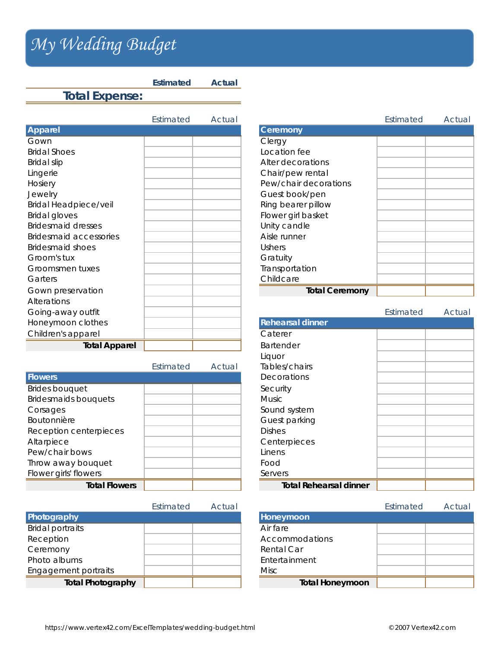## *My Wedding Budget My Wedding Budget*

**Total Expense:**

Estimated Actual Estimated Actual **Apparel Ceremony** Gown and the contract of the contract of the clergy **Bridal Shoes** Bridal slip Lingerie Hosiery **Pew/chair decorations** Pew/chair decorations Jewelry Bridal Headpiece/veil Bridal gloves Bridesmaid dresses Bridesmaid accessories Bridesmaid shoes Groom's tux Groomsmen tuxes Garters **Childcare Childcare Childcare Childcare Gown preservation** Alterations Going-away outfit **Honeymoon clothes** Children's apparel **Total Apparel** 

**Estimated Actual** 

|                             | Estimated | Actual | Tables/chairs                 |
|-----------------------------|-----------|--------|-------------------------------|
| <b>Flowers</b>              |           |        | Decorations                   |
| <b>Brides bouquet</b>       |           |        | Security                      |
| <b>Bridesmaids bouquets</b> |           |        | <b>Music</b>                  |
| Corsages                    |           |        | Sound system                  |
| Boutonnière                 |           |        | Guest parking                 |
| Reception centerpieces      |           |        | <b>Dishes</b>                 |
| Altarpiece                  |           |        | Centerpieces                  |
| Pew/chair bows              |           |        | Linens                        |
| Throw away bouquet          |           |        | Food                          |
| Flower girls' flowers       |           |        | Servers                       |
| <b>Total Flowers</b>        |           |        | <b>Total Rehearsal dinner</b> |

|                          | Estimated | Actual |                        |
|--------------------------|-----------|--------|------------------------|
| Photography              |           |        | Honeymoon              |
| <b>Bridal portraits</b>  |           |        | Air fare               |
| Reception                |           |        | Accommodations         |
| Ceremony                 |           |        | Rental Car             |
| Photo albums             |           |        | Entertainment          |
| Engagement portraits     |           |        | Misc                   |
| <b>Total Photography</b> |           |        | <b>Total Honeymoon</b> |

|                       | Estimated | Actual |
|-----------------------|-----------|--------|
| Ceremony              |           |        |
| Clergy                |           |        |
| Location fee          |           |        |
| Alter decorations     |           |        |
| Chair/pew rental      |           |        |
| Pew/chair decorations |           |        |
| Guest book/pen        |           |        |
| Ring bearer pillow    |           |        |
| Flower girl basket    |           |        |
| Unity candle          |           |        |
| Aisle runner          |           |        |
| Ushers                |           |        |
| Gratuity              |           |        |
| Transportation        |           |        |
| Childcare             |           |        |
| <b>Total Ceremony</b> |           |        |

|                               | Estimated | Actual |
|-------------------------------|-----------|--------|
| <b>Rehearsal dinner</b>       |           |        |
| Caterer                       |           |        |
| <b>Bartender</b>              |           |        |
| Liquor                        |           |        |
| Tables/chairs                 |           |        |
| Decorations                   |           |        |
| Security                      |           |        |
| Music                         |           |        |
| Sound system                  |           |        |
| Guest parking                 |           |        |
| <b>Dishes</b>                 |           |        |
| Centerpieces                  |           |        |
| Linens                        |           |        |
| Food                          |           |        |
| Servers                       |           |        |
| <b>Total Rehearsal dinner</b> |           |        |

| Estimated | Actual |                        | Estimated | Actual |
|-----------|--------|------------------------|-----------|--------|
|           |        | Honeymoon              |           |        |
|           |        | Air fare               |           |        |
|           |        | Accommodations         |           |        |
|           |        | Rental Car             |           |        |
|           |        | Entertainment          |           |        |
|           |        | Misc                   |           |        |
|           |        | <b>Total Honeymoon</b> |           |        |